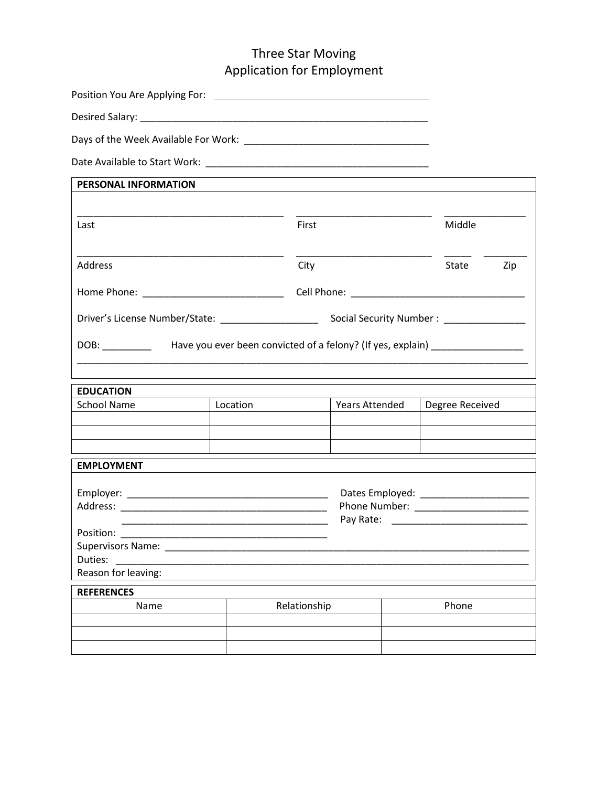## Three Star Moving Application for Employment

Position You Are Applying For: Desired Salary: \_\_\_\_\_\_\_\_\_\_\_\_\_\_\_\_\_\_\_\_\_\_\_\_\_\_\_\_\_\_\_\_\_\_\_\_\_\_\_\_\_\_\_\_\_\_\_\_\_\_\_\_\_

Days of the Week Available For Work: \_\_\_\_\_\_\_\_\_\_\_\_\_\_\_\_\_\_\_\_\_\_\_\_\_\_\_\_\_\_\_\_\_\_

Date Available to Start Work: \_\_\_\_\_\_\_\_\_\_\_\_\_\_\_\_\_\_\_\_\_\_\_\_\_\_\_\_\_\_\_\_\_\_\_\_\_\_\_\_\_

| PERSONAL INFORMATION                                                                               |          |              |                       |       |                 |     |
|----------------------------------------------------------------------------------------------------|----------|--------------|-----------------------|-------|-----------------|-----|
|                                                                                                    |          |              |                       |       |                 |     |
| Last                                                                                               |          | First        |                       |       | Middle          |     |
|                                                                                                    |          |              |                       |       |                 |     |
| Address                                                                                            |          | City         |                       |       | State           | Zip |
|                                                                                                    |          |              |                       |       |                 |     |
|                                                                                                    |          |              |                       |       |                 |     |
| DOB: ____________  Have you ever been convicted of a felony? (If yes, explain) ___________________ |          |              |                       |       |                 |     |
|                                                                                                    |          |              |                       |       |                 |     |
|                                                                                                    |          |              |                       |       |                 |     |
| <b>EDUCATION</b>                                                                                   |          |              |                       |       |                 |     |
| <b>School Name</b>                                                                                 | Location |              | <b>Years Attended</b> |       | Degree Received |     |
|                                                                                                    |          |              |                       |       |                 |     |
|                                                                                                    |          |              |                       |       |                 |     |
| <b>EMPLOYMENT</b>                                                                                  |          |              |                       |       |                 |     |
|                                                                                                    |          |              |                       |       |                 |     |
|                                                                                                    |          |              |                       |       |                 |     |
|                                                                                                    |          |              |                       |       |                 |     |
|                                                                                                    |          |              |                       |       |                 |     |
|                                                                                                    |          |              |                       |       |                 |     |
|                                                                                                    |          |              |                       |       |                 |     |
|                                                                                                    |          |              |                       |       |                 |     |
| Reason for leaving:                                                                                |          |              |                       |       |                 |     |
| <b>REFERENCES</b>                                                                                  |          |              |                       |       |                 |     |
| Name                                                                                               |          | Relationship |                       | Phone |                 |     |
|                                                                                                    |          |              |                       |       |                 |     |
|                                                                                                    |          |              |                       |       |                 |     |
|                                                                                                    |          |              |                       |       |                 |     |